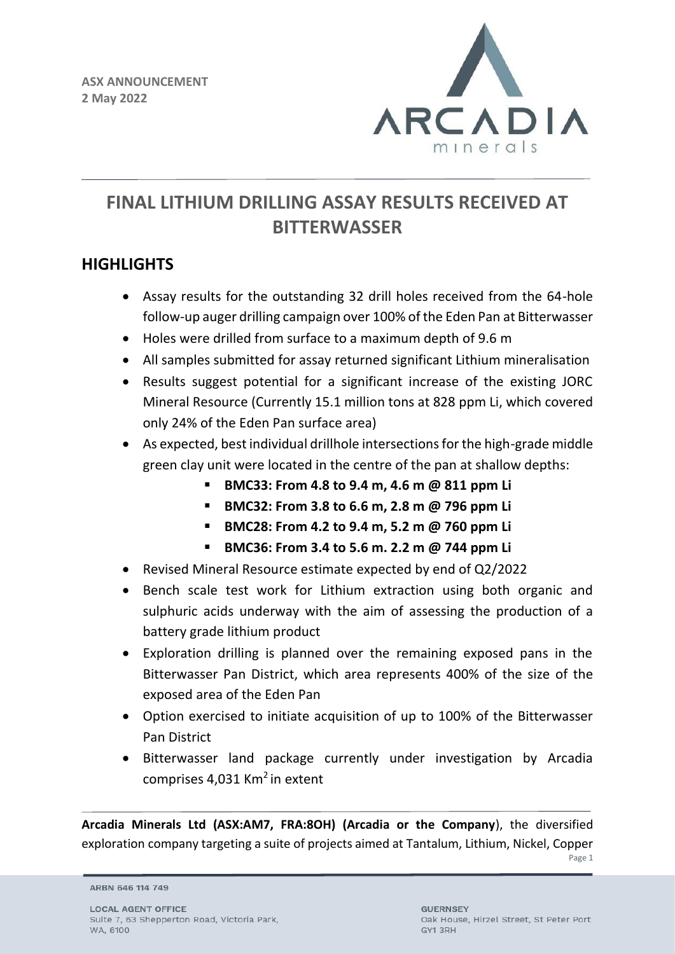

# **FINAL LITHIUM DRILLING ASSAY RESULTS RECEIVED AT BITTERWASSER**

## **HIGHLIGHTS**

- Assay results for the outstanding 32 drill holes received from the 64-hole follow-up auger drilling campaign over 100% of the Eden Pan at Bitterwasser
- Holes were drilled from surface to a maximum depth of 9.6 m
- All samples submitted for assay returned significant Lithium mineralisation
- Results suggest potential for a significant increase of the existing JORC Mineral Resource (Currently 15.1 million tons at 828 ppm Li, which covered only 24% of the Eden Pan surface area)
- As expected, best individual drillhole intersections for the high-grade middle green clay unit were located in the centre of the pan at shallow depths:
	- **BMC33: From 4.8 to 9.4 m, 4.6 m @ 811 ppm Li**
	- **BMC32: From 3.8 to 6.6 m, 2.8 m @ 796 ppm Li**
	- **BMC28: From 4.2 to 9.4 m, 5.2 m @ 760 ppm Li**
	- **BMC36: From 3.4 to 5.6 m. 2.2 m @ 744 ppm Li**
- Revised Mineral Resource estimate expected by end of Q2/2022
- Bench scale test work for Lithium extraction using both organic and sulphuric acids underway with the aim of assessing the production of a battery grade lithium product
- Exploration drilling is planned over the remaining exposed pans in the Bitterwasser Pan District, which area represents 400% of the size of the exposed area of the Eden Pan
- Option exercised to initiate acquisition of up to 100% of the Bitterwasser Pan District
- Bitterwasser land package currently under investigation by Arcadia comprises  $4.031$  Km<sup>2</sup> in extent

**Arcadia Minerals Ltd (ASX:AM7, FRA:8OH) (Arcadia or the Company**), the diversified exploration company targeting a suite of projects aimed at Tantalum, Lithium, Nickel, Copper

Page 1

ARBN 646 114 749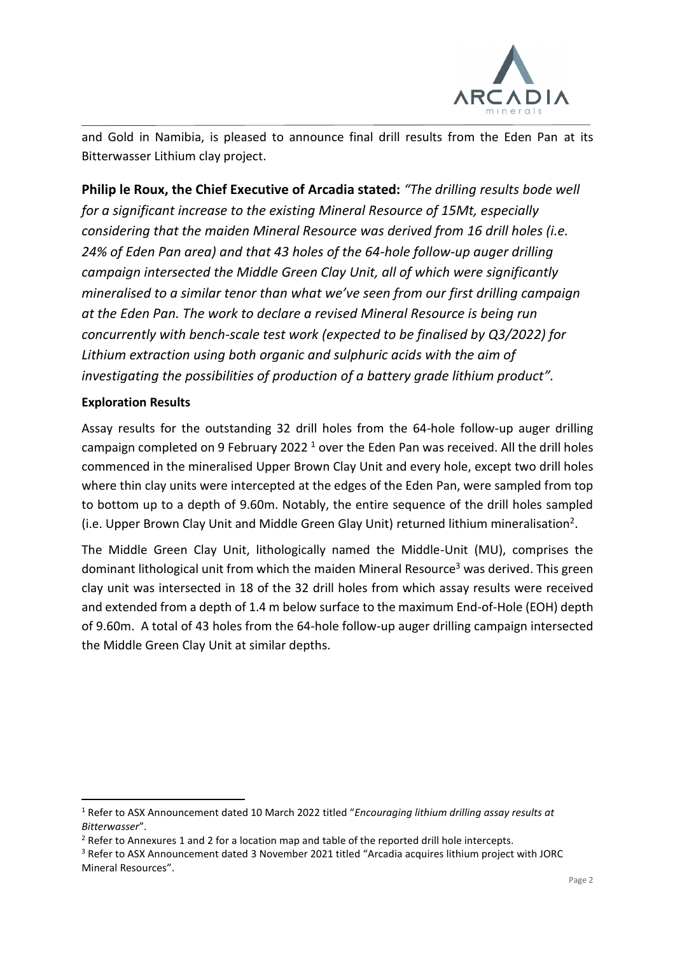

and Gold in Namibia, is pleased to announce final drill results from the Eden Pan at its Bitterwasser Lithium clay project.

**Philip le Roux, the Chief Executive of Arcadia stated:** *"The drilling results bode well for a significant increase to the existing Mineral Resource of 15Mt, especially considering that the maiden Mineral Resource was derived from 16 drill holes (i.e. 24% of Eden Pan area) and that 43 holes of the 64-hole follow-up auger drilling campaign intersected the Middle Green Clay Unit, all of which were significantly mineralised to a similar tenor than what we've seen from our first drilling campaign at the Eden Pan. The work to declare a revised Mineral Resource is being run concurrently with bench-scale test work (expected to be finalised by Q3/2022) for Lithium extraction using both organic and sulphuric acids with the aim of investigating the possibilities of production of a battery grade lithium product".* 

## **Exploration Results**

Assay results for the outstanding 32 drill holes from the 64-hole follow-up auger drilling campaign completed on 9 February 2022<sup>1</sup> over the Eden Pan was received. All the drill holes commenced in the mineralised Upper Brown Clay Unit and every hole, except two drill holes where thin clay units were intercepted at the edges of the Eden Pan, were sampled from top to bottom up to a depth of 9.60m. Notably, the entire sequence of the drill holes sampled (i.e. Upper Brown Clay Unit and Middle Green Glay Unit) returned lithium mineralisation<sup>2</sup>.

The Middle Green Clay Unit, lithologically named the Middle-Unit (MU), comprises the dominant lithological unit from which the maiden Mineral Resource<sup>3</sup> was derived. This green clay unit was intersected in 18 of the 32 drill holes from which assay results were received and extended from a depth of 1.4 m below surface to the maximum End-of-Hole (EOH) depth of 9.60m. A total of 43 holes from the 64-hole follow-up auger drilling campaign intersected the Middle Green Clay Unit at similar depths.

<sup>1</sup> Refer to ASX Announcement dated 10 March 2022 titled "*Encouraging lithium drilling assay results at Bitterwasser*".

 $2$  Refer to Annexures 1 and 2 for a location map and table of the reported drill hole intercepts.

<sup>3</sup> Refer to ASX Announcement dated 3 November 2021 titled "Arcadia acquires lithium project with JORC Mineral Resources".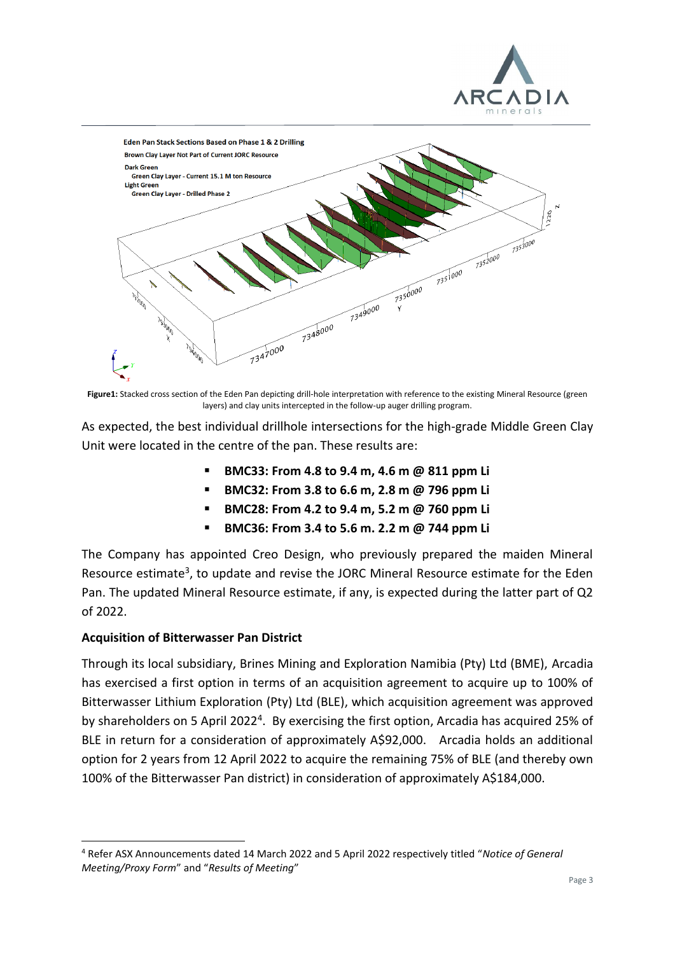



**Figure1:** Stacked cross section of the Eden Pan depicting drill-hole interpretation with reference to the existing Mineral Resource (green layers) and clay units intercepted in the follow-up auger drilling program.

As expected, the best individual drillhole intersections for the high-grade Middle Green Clay Unit were located in the centre of the pan. These results are:

- **BMC33: From 4.8 to 9.4 m, 4.6 m @ 811 ppm Li**
- **BMC32: From 3.8 to 6.6 m, 2.8 m @ 796 ppm Li**
- **BMC28: From 4.2 to 9.4 m, 5.2 m @ 760 ppm Li**
- **BMC36: From 3.4 to 5.6 m. 2.2 m @ 744 ppm Li**

The Company has appointed Creo Design, who previously prepared the maiden Mineral Resource estimate<sup>3</sup>, to update and revise the JORC Mineral Resource estimate for the Eden Pan. The updated Mineral Resource estimate, if any, is expected during the latter part of Q2 of 2022.

#### **Acquisition of Bitterwasser Pan District**

Through its local subsidiary, Brines Mining and Exploration Namibia (Pty) Ltd (BME), Arcadia has exercised a first option in terms of an acquisition agreement to acquire up to 100% of Bitterwasser Lithium Exploration (Pty) Ltd (BLE), which acquisition agreement was approved by shareholders on 5 April 2022<sup>4</sup>. By exercising the first option, Arcadia has acquired 25% of BLE in return for a consideration of approximately A\$92,000. Arcadia holds an additional option for 2 years from 12 April 2022 to acquire the remaining 75% of BLE (and thereby own 100% of the Bitterwasser Pan district) in consideration of approximately A\$184,000.

<sup>4</sup> Refer ASX Announcements dated 14 March 2022 and 5 April 2022 respectively titled "*Notice of General Meeting/Proxy Form*" and "*Results of Meeting*"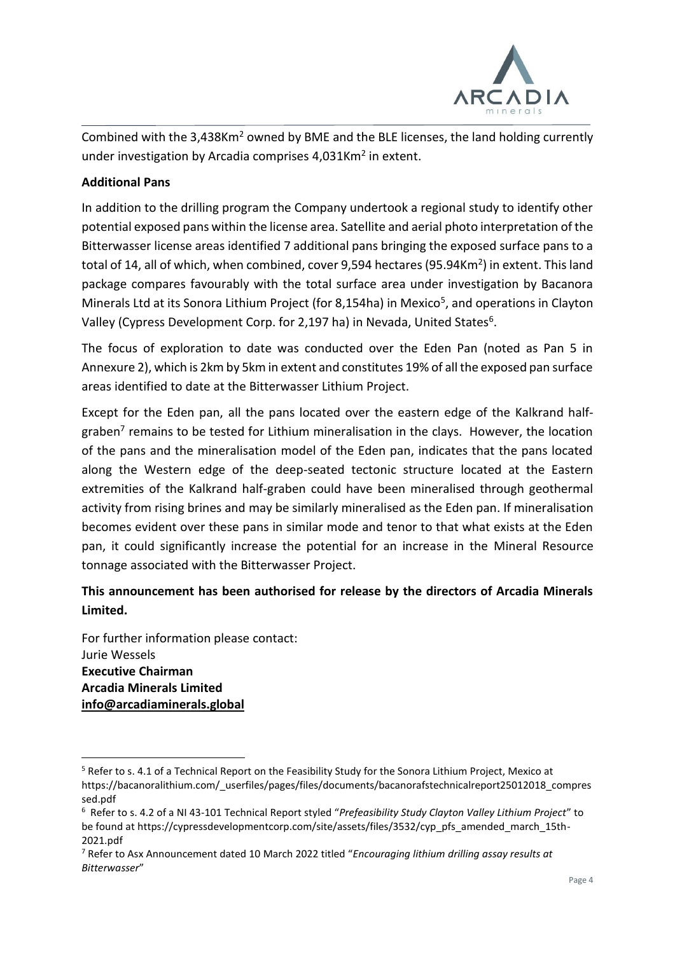

Combined with the 3,438Km<sup>2</sup> owned by BME and the BLE licenses, the land holding currently under investigation by Arcadia comprises 4,031Km<sup>2</sup> in extent.

## **Additional Pans**

In addition to the drilling program the Company undertook a regional study to identify other potential exposed pans within the license area. Satellite and aerial photo interpretation of the Bitterwasser license areas identified 7 additional pans bringing the exposed surface pans to a total of 14, all of which, when combined, cover 9,594 hectares (95.94Km<sup>2</sup>) in extent. This land package compares favourably with the total surface area under investigation by Bacanora Minerals Ltd at its Sonora Lithium Project (for 8,154ha) in Mexico<sup>5</sup>, and operations in Clayton Valley (Cypress Development Corp. for 2,197 ha) in Nevada, United States<sup>6</sup>.

The focus of exploration to date was conducted over the Eden Pan (noted as Pan 5 in Annexure 2), which is 2km by 5km in extent and constitutes 19% of all the exposed pan surface areas identified to date at the Bitterwasser Lithium Project.

Except for the Eden pan, all the pans located over the eastern edge of the Kalkrand halfgraben<sup>7</sup> remains to be tested for Lithium mineralisation in the clays. However, the location of the pans and the mineralisation model of the Eden pan, indicates that the pans located along the Western edge of the deep-seated tectonic structure located at the Eastern extremities of the Kalkrand half-graben could have been mineralised through geothermal activity from rising brines and may be similarly mineralised as the Eden pan. If mineralisation becomes evident over these pans in similar mode and tenor to that what exists at the Eden pan, it could significantly increase the potential for an increase in the Mineral Resource tonnage associated with the Bitterwasser Project.

## **This announcement has been authorised for release by the directors of Arcadia Minerals Limited.**

For further information please contact: Jurie Wessels **Executive Chairman Arcadia Minerals Limited [info@arcadiaminerals.global](mailto:info@arcadiaminerals.global)**

<sup>5</sup> Refer to s. 4.1 of a Technical Report on the Feasibility Study for the Sonora Lithium Project, Mexico at https://bacanoralithium.com/\_userfiles/pages/files/documents/bacanorafstechnicalreport25012018\_compres sed.pdf

<sup>6</sup> Refer to s. 4.2 of a NI 43-101 Technical Report styled "*Prefeasibility Study Clayton Valley Lithium Project*" to be found at https://cypressdevelopmentcorp.com/site/assets/files/3532/cyp\_pfs\_amended\_march\_15th-2021.pdf

<sup>7</sup> Refer to Asx Announcement dated 10 March 2022 titled "*Encouraging lithium drilling assay results at Bitterwasser*"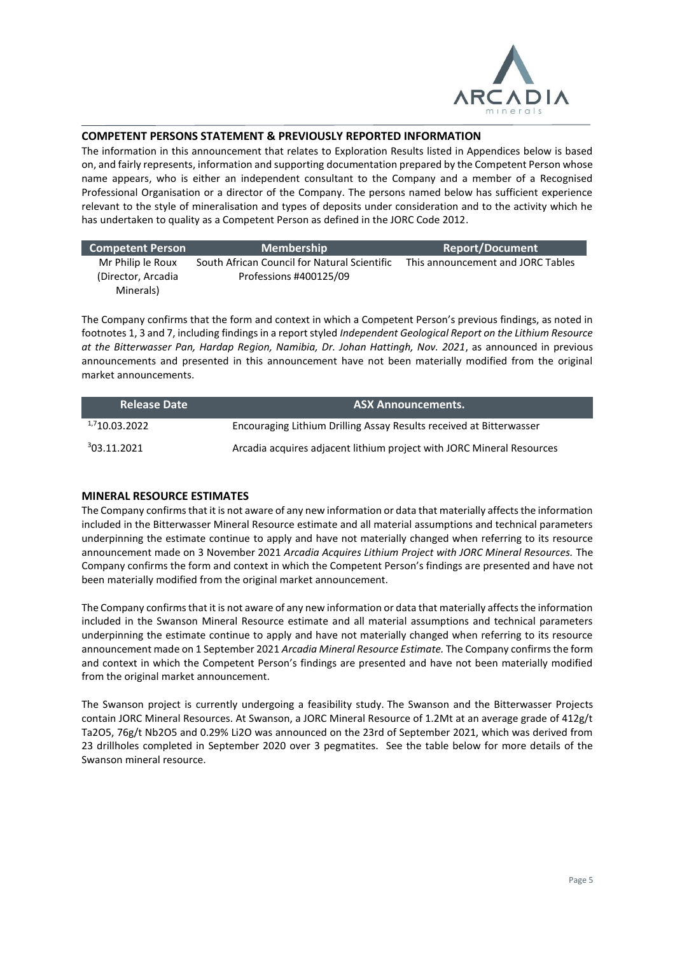

#### **COMPETENT PERSONS STATEMENT & PREVIOUSLY REPORTED INFORMATION**

The information in this announcement that relates to Exploration Results listed in Appendices below is based on, and fairly represents, information and supporting documentation prepared by the Competent Person whose name appears, who is either an independent consultant to the Company and a member of a Recognised Professional Organisation or a director of the Company. The persons named below has sufficient experience relevant to the style of mineralisation and types of deposits under consideration and to the activity which he has undertaken to quality as a Competent Person as defined in the JORC Code 2012.

| <b>Competent Person</b>                  | <b>Membership</b>                                                      | <b>Report/Document</b>            |
|------------------------------------------|------------------------------------------------------------------------|-----------------------------------|
| Mr Philip le Roux<br>(Director, Arcadia) | South African Council for Natural Scientific<br>Professions #400125/09 | This announcement and JORC Tables |
| Minerals)                                |                                                                        |                                   |

The Company confirms that the form and context in which a Competent Person's previous findings, as noted in footnotes 1, 3 and 7, including findings in a report styled *Independent Geological Report on the Lithium Resource at the Bitterwasser Pan, Hardap Region, Namibia, Dr. Johan Hattingh, Nov. 2021*, as announced in previous announcements and presented in this announcement have not been materially modified from the original market announcements.

| <b>Release Date</b> | <b>ASX Announcements.</b>                                             |
|---------------------|-----------------------------------------------------------------------|
| 1,710.03.2022       | Encouraging Lithium Drilling Assay Results received at Bitterwasser   |
| 303.11.2021         | Arcadia acquires adjacent lithium project with JORC Mineral Resources |

#### **MINERAL RESOURCE ESTIMATES**

The Company confirms that it is not aware of any new information or data that materially affects the information included in the Bitterwasser Mineral Resource estimate and all material assumptions and technical parameters underpinning the estimate continue to apply and have not materially changed when referring to its resource announcement made on 3 November 2021 *Arcadia Acquires Lithium Project with JORC Mineral Resources.* The Company confirms the form and context in which the Competent Person's findings are presented and have not been materially modified from the original market announcement.

The Company confirms that it is not aware of any new information or data that materially affects the information included in the Swanson Mineral Resource estimate and all material assumptions and technical parameters underpinning the estimate continue to apply and have not materially changed when referring to its resource announcement made on 1 September 2021 *Arcadia Mineral Resource Estimate.* The Company confirms the form and context in which the Competent Person's findings are presented and have not been materially modified from the original market announcement.

The Swanson project is currently undergoing a feasibility study. The Swanson and the Bitterwasser Projects contain JORC Mineral Resources. At Swanson, a JORC Mineral Resource of 1.2Mt at an average grade of 412g/t Ta2O5, 76g/t Nb2O5 and 0.29% Li2O was announced on the 23rd of September 2021, which was derived from 23 drillholes completed in September 2020 over 3 pegmatites. See the table below for more details of the Swanson mineral resource.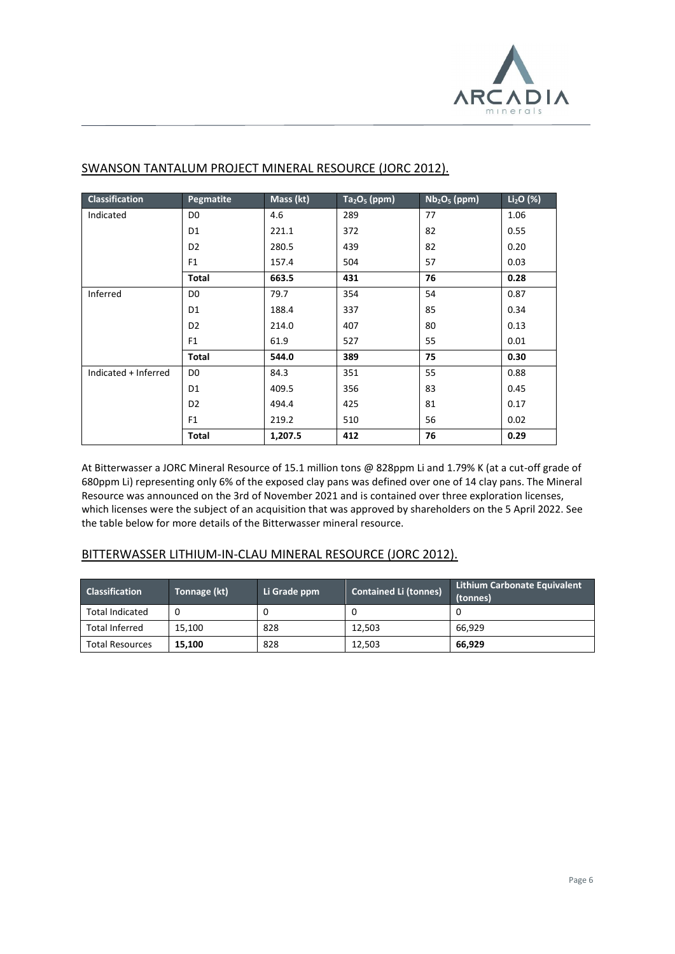

| <b>Classification</b> | Pegmatite      | Mass (kt) | $Ta2O5$ (ppm) | $Nb2O5$ (ppm) | $Li2O$ (%) |
|-----------------------|----------------|-----------|---------------|---------------|------------|
| Indicated             | D <sub>0</sub> | 4.6       | 289           | 77            | 1.06       |
|                       | D <sub>1</sub> | 221.1     | 372           | 82            | 0.55       |
|                       | D <sub>2</sub> | 280.5     | 439           | 82            | 0.20       |
|                       | F <sub>1</sub> | 157.4     | 504           | 57            | 0.03       |
|                       | <b>Total</b>   | 663.5     | 431           | 76            | 0.28       |
| Inferred              | D <sub>0</sub> | 79.7      | 354           | 54            | 0.87       |
|                       | D <sub>1</sub> | 188.4     | 337           | 85            | 0.34       |
|                       | D <sub>2</sub> | 214.0     | 407           | 80            | 0.13       |
|                       | F <sub>1</sub> | 61.9      | 527           | 55            | 0.01       |
|                       | <b>Total</b>   | 544.0     | 389           | 75            | 0.30       |
| Indicated + Inferred  | D <sub>0</sub> | 84.3      | 351           | 55            | 0.88       |
|                       | D <sub>1</sub> | 409.5     | 356           | 83            | 0.45       |
|                       | D <sub>2</sub> | 494.4     | 425           | 81            | 0.17       |
|                       | F <sub>1</sub> | 219.2     | 510           | 56            | 0.02       |
|                       | <b>Total</b>   | 1,207.5   | 412           | 76            | 0.29       |

#### SWANSON TANTALUM PROJECT MINERAL RESOURCE (JORC 2012).

At Bitterwasser a JORC Mineral Resource of 15.1 million tons @ 828ppm Li and 1.79% K (at a cut-off grade of 680ppm Li) representing only 6% of the exposed clay pans was defined over one of 14 clay pans. The Mineral Resource was announced on the 3rd of November 2021 and is contained over three exploration licenses, which licenses were the subject of an acquisition that was approved by shareholders on the 5 April 2022. See the table below for more details of the Bitterwasser mineral resource.

#### BITTERWASSER LITHIUM-IN-CLAU MINERAL RESOURCE (JORC 2012).

| <b>Classification</b>  | Tonnage (kt) | Li Grade ppm | <b>Contained Li (tonnes)</b> | <b>Lithium Carbonate Equivalent</b><br>(tonnes) |
|------------------------|--------------|--------------|------------------------------|-------------------------------------------------|
| <b>Total Indicated</b> |              |              |                              |                                                 |
| <b>Total Inferred</b>  | 15.100       | 828          | 12.503                       | 66.929                                          |
| <b>Total Resources</b> | 15.100       | 828          | 12.503                       | 66,929                                          |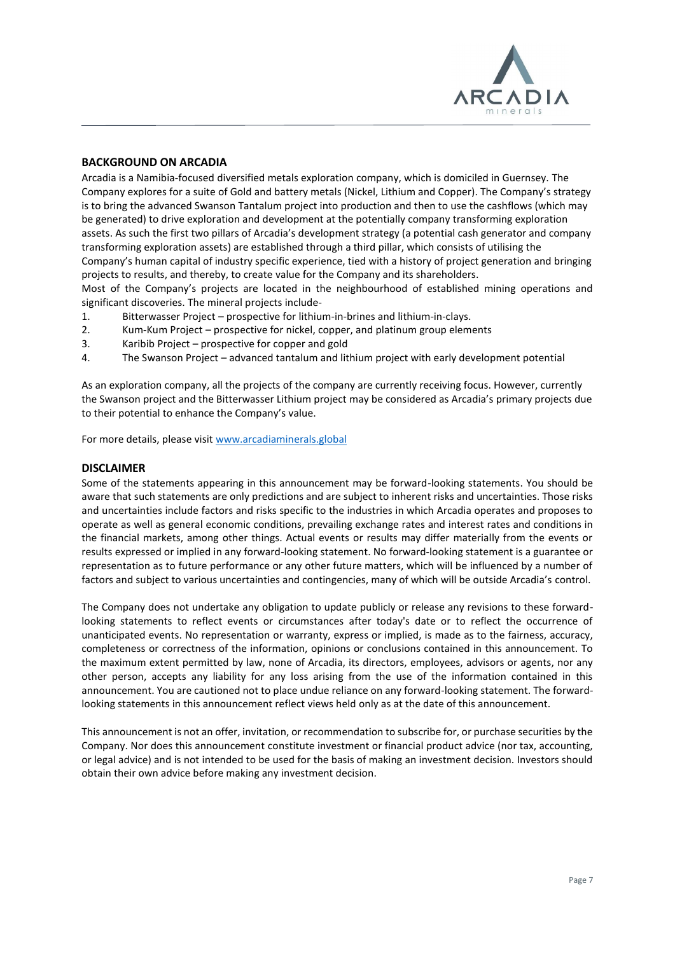

#### **BACKGROUND ON ARCADIA**

Arcadia is a Namibia-focused diversified metals exploration company, which is domiciled in Guernsey. The Company explores for a suite of Gold and battery metals (Nickel, Lithium and Copper). The Company's strategy is to bring the advanced Swanson Tantalum project into production and then to use the cashflows (which may be generated) to drive exploration and development at the potentially company transforming exploration assets. As such the first two pillars of Arcadia's development strategy (a potential cash generator and company transforming exploration assets) are established through a third pillar, which consists of utilising the Company's human capital of industry specific experience, tied with a history of project generation and bringing projects to results, and thereby, to create value for the Company and its shareholders.

Most of the Company's projects are located in the neighbourhood of established mining operations and significant discoveries. The mineral projects include-

- 1. Bitterwasser Project prospective for lithium-in-brines and lithium-in-clays.
- 2. Kum-Kum Project prospective for nickel, copper, and platinum group elements
- 3. Karibib Project prospective for copper and gold
- 4. The Swanson Project advanced tantalum and lithium project with early development potential

As an exploration company, all the projects of the company are currently receiving focus. However, currently the Swanson project and the Bitterwasser Lithium project may be considered as Arcadia's primary projects due to their potential to enhance the Company's value.

For more details, please visit [www.arcadiaminerals.global](http://www.arcadiaminerals.global/)

#### **DISCLAIMER**

Some of the statements appearing in this announcement may be forward-looking statements. You should be aware that such statements are only predictions and are subject to inherent risks and uncertainties. Those risks and uncertainties include factors and risks specific to the industries in which Arcadia operates and proposes to operate as well as general economic conditions, prevailing exchange rates and interest rates and conditions in the financial markets, among other things. Actual events or results may differ materially from the events or results expressed or implied in any forward-looking statement. No forward-looking statement is a guarantee or representation as to future performance or any other future matters, which will be influenced by a number of factors and subject to various uncertainties and contingencies, many of which will be outside Arcadia's control.

The Company does not undertake any obligation to update publicly or release any revisions to these forwardlooking statements to reflect events or circumstances after today's date or to reflect the occurrence of unanticipated events. No representation or warranty, express or implied, is made as to the fairness, accuracy, completeness or correctness of the information, opinions or conclusions contained in this announcement. To the maximum extent permitted by law, none of Arcadia, its directors, employees, advisors or agents, nor any other person, accepts any liability for any loss arising from the use of the information contained in this announcement. You are cautioned not to place undue reliance on any forward-looking statement. The forwardlooking statements in this announcement reflect views held only as at the date of this announcement.

This announcement is not an offer, invitation, or recommendation to subscribe for, or purchase securities by the Company. Nor does this announcement constitute investment or financial product advice (nor tax, accounting, or legal advice) and is not intended to be used for the basis of making an investment decision. Investors should obtain their own advice before making any investment decision.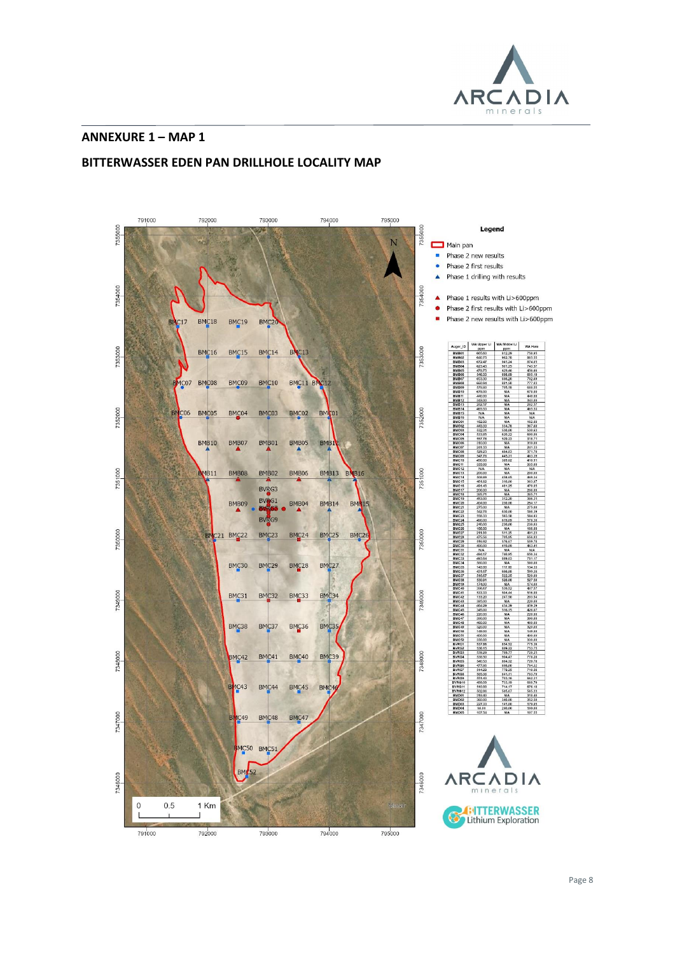

#### **ANNEXURE 1 – MAP 1**

#### **BITTERWASSER EDEN PAN DRILLHOLE LOCALITY MAP**

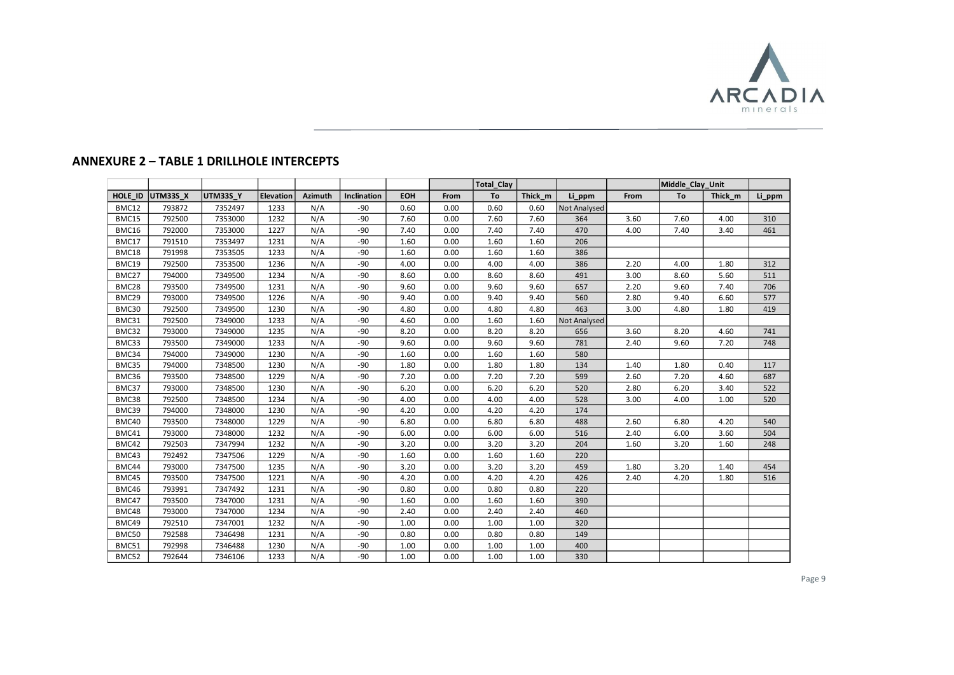

### **ANNEXURE 2 – TABLE 1 DRILLHOLE INTERCEPTS**

|         |          |          |           |         |             |            |      | <b>Total Clay</b> |         |              |      | Middle Clay Unit |         |        |
|---------|----------|----------|-----------|---------|-------------|------------|------|-------------------|---------|--------------|------|------------------|---------|--------|
| HOLE ID | UTM33S X | UTM33S_Y | Elevation | Azimuth | Inclination | <b>EOH</b> | From | To                | Thick m | Li_ppm       | From | To               | Thick m | Li_ppm |
| BMC12   | 793872   | 7352497  | 1233      | N/A     | $-90$       | 0.60       | 0.00 | 0.60              | 0.60    | Not Analysed |      |                  |         |        |
| BMC15   | 792500   | 7353000  | 1232      | N/A     | $-90$       | 7.60       | 0.00 | 7.60              | 7.60    | 364          | 3.60 | 7.60             | 4.00    | 310    |
| BMC16   | 792000   | 7353000  | 1227      | N/A     | $-90$       | 7.40       | 0.00 | 7.40              | 7.40    | 470          | 4.00 | 7.40             | 3.40    | 461    |
| BMC17   | 791510   | 7353497  | 1231      | N/A     | $-90$       | 1.60       | 0.00 | 1.60              | 1.60    | 206          |      |                  |         |        |
| BMC18   | 791998   | 7353505  | 1233      | N/A     | $-90$       | 1.60       | 0.00 | 1.60              | 1.60    | 386          |      |                  |         |        |
| BMC19   | 792500   | 7353500  | 1236      | N/A     | $-90$       | 4.00       | 0.00 | 4.00              | 4.00    | 386          | 2.20 | 4.00             | 1.80    | 312    |
| BMC27   | 794000   | 7349500  | 1234      | N/A     | $-90$       | 8.60       | 0.00 | 8.60              | 8.60    | 491          | 3.00 | 8.60             | 5.60    | 511    |
| BMC28   | 793500   | 7349500  | 1231      | N/A     | $-90$       | 9.60       | 0.00 | 9.60              | 9.60    | 657          | 2.20 | 9.60             | 7.40    | 706    |
| BMC29   | 793000   | 7349500  | 1226      | N/A     | $-90$       | 9.40       | 0.00 | 9.40              | 9.40    | 560          | 2.80 | 9.40             | 6.60    | 577    |
| BMC30   | 792500   | 7349500  | 1230      | N/A     | $-90$       | 4.80       | 0.00 | 4.80              | 4.80    | 463          | 3.00 | 4.80             | 1.80    | 419    |
| BMC31   | 792500   | 7349000  | 1233      | N/A     | $-90$       | 4.60       | 0.00 | 1.60              | 1.60    | Not Analysed |      |                  |         |        |
| BMC32   | 793000   | 7349000  | 1235      | N/A     | $-90$       | 8.20       | 0.00 | 8.20              | 8.20    | 656          | 3.60 | 8.20             | 4.60    | 741    |
| BMC33   | 793500   | 7349000  | 1233      | N/A     | $-90$       | 9.60       | 0.00 | 9.60              | 9.60    | 781          | 2.40 | 9.60             | 7.20    | 748    |
| BMC34   | 794000   | 7349000  | 1230      | N/A     | $-90$       | 1.60       | 0.00 | 1.60              | 1.60    | 580          |      |                  |         |        |
| BMC35   | 794000   | 7348500  | 1230      | N/A     | $-90$       | 1.80       | 0.00 | 1.80              | 1.80    | 134          | 1.40 | 1.80             | 0.40    | 117    |
| BMC36   | 793500   | 7348500  | 1229      | N/A     | $-90$       | 7.20       | 0.00 | 7.20              | 7.20    | 599          | 2.60 | 7.20             | 4.60    | 687    |
| BMC37   | 793000   | 7348500  | 1230      | N/A     | $-90$       | 6.20       | 0.00 | 6.20              | 6.20    | 520          | 2.80 | 6.20             | 3.40    | 522    |
| BMC38   | 792500   | 7348500  | 1234      | N/A     | $-90$       | 4.00       | 0.00 | 4.00              | 4.00    | 528          | 3.00 | 4.00             | 1.00    | 520    |
| BMC39   | 794000   | 7348000  | 1230      | N/A     | $-90$       | 4.20       | 0.00 | 4.20              | 4.20    | 174          |      |                  |         |        |
| BMC40   | 793500   | 7348000  | 1229      | N/A     | $-90$       | 6.80       | 0.00 | 6.80              | 6.80    | 488          | 2.60 | 6.80             | 4.20    | 540    |
| BMC41   | 793000   | 7348000  | 1232      | N/A     | $-90$       | 6.00       | 0.00 | 6.00              | 6.00    | 516          | 2.40 | 6.00             | 3.60    | 504    |
| BMC42   | 792503   | 7347994  | 1232      | N/A     | $-90$       | 3.20       | 0.00 | 3.20              | 3.20    | 204          | 1.60 | 3.20             | 1.60    | 248    |
| BMC43   | 792492   | 7347506  | 1229      | N/A     | $-90$       | 1.60       | 0.00 | 1.60              | 1.60    | 220          |      |                  |         |        |
| BMC44   | 793000   | 7347500  | 1235      | N/A     | $-90$       | 3.20       | 0.00 | 3.20              | 3.20    | 459          | 1.80 | 3.20             | 1.40    | 454    |
| BMC45   | 793500   | 7347500  | 1221      | N/A     | $-90$       | 4.20       | 0.00 | 4.20              | 4.20    | 426          | 2.40 | 4.20             | 1.80    | 516    |
| BMC46   | 793991   | 7347492  | 1231      | N/A     | $-90$       | 0.80       | 0.00 | 0.80              | 0.80    | 220          |      |                  |         |        |
| BMC47   | 793500   | 7347000  | 1231      | N/A     | $-90$       | 1.60       | 0.00 | 1.60              | 1.60    | 390          |      |                  |         |        |
| BMC48   | 793000   | 7347000  | 1234      | N/A     | $-90$       | 2.40       | 0.00 | 2.40              | 2.40    | 460          |      |                  |         |        |
| BMC49   | 792510   | 7347001  | 1232      | N/A     | $-90$       | 1.00       | 0.00 | 1.00              | 1.00    | 320          |      |                  |         |        |
| BMC50   | 792588   | 7346498  | 1231      | N/A     | $-90$       | 0.80       | 0.00 | 0.80              | 0.80    | 149          |      |                  |         |        |
| BMC51   | 792998   | 7346488  | 1230      | N/A     | $-90$       | 1.00       | 0.00 | 1.00              | 1.00    | 400          |      |                  |         |        |
| BMC52   | 792644   | 7346106  | 1233      | N/A     | $-90$       | 1.00       | 0.00 | 1.00              | 1.00    | 330          |      |                  |         |        |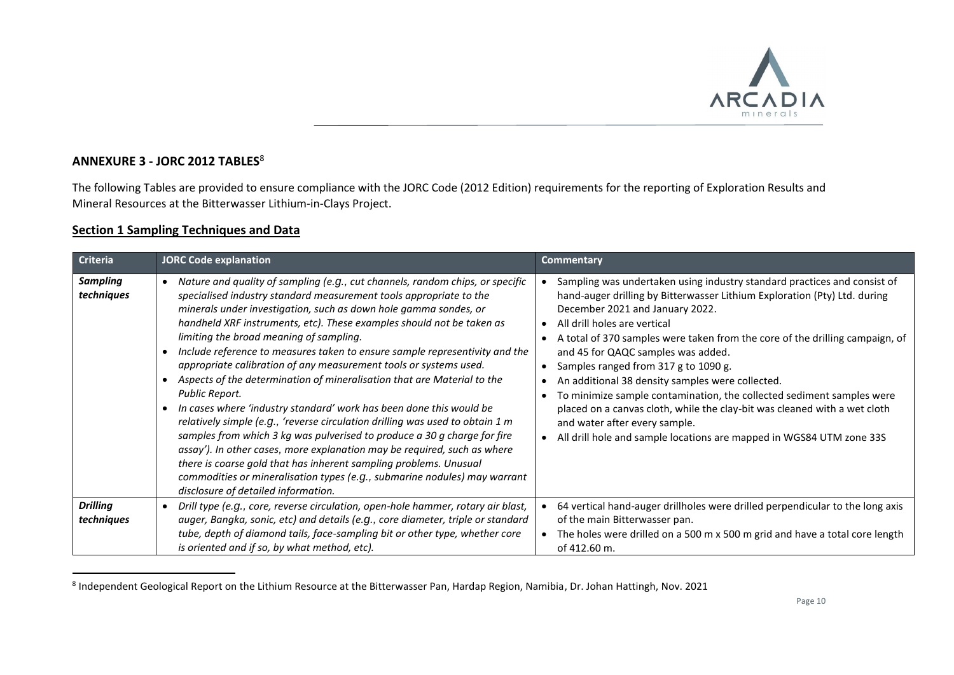

## **ANNEXURE 3 - JORC 2012 TABLES**<sup>8</sup>

The following Tables are provided to ensure compliance with the JORC Code (2012 Edition) requirements for the reporting of Exploration Results and Mineral Resources at the Bitterwasser Lithium-in-Clays Project.

#### **Section 1 Sampling Techniques and Data**

| <b>Criteria</b>               | <b>JORC Code explanation</b>                                                                                                                                                                                                                                                                                                                                                                                                                                                                                                                                                                                                                                                                                                                                                                                                                                                                                                                                                                                                                                                                          | <b>Commentary</b>                                                                                                                                                                                                                                                                                                                                                                                                                                                                                                                                                                                                                                                                                         |
|-------------------------------|-------------------------------------------------------------------------------------------------------------------------------------------------------------------------------------------------------------------------------------------------------------------------------------------------------------------------------------------------------------------------------------------------------------------------------------------------------------------------------------------------------------------------------------------------------------------------------------------------------------------------------------------------------------------------------------------------------------------------------------------------------------------------------------------------------------------------------------------------------------------------------------------------------------------------------------------------------------------------------------------------------------------------------------------------------------------------------------------------------|-----------------------------------------------------------------------------------------------------------------------------------------------------------------------------------------------------------------------------------------------------------------------------------------------------------------------------------------------------------------------------------------------------------------------------------------------------------------------------------------------------------------------------------------------------------------------------------------------------------------------------------------------------------------------------------------------------------|
| <b>Sampling</b><br>techniques | Nature and quality of sampling (e.g., cut channels, random chips, or specific<br>specialised industry standard measurement tools appropriate to the<br>minerals under investigation, such as down hole gamma sondes, or<br>handheld XRF instruments, etc). These examples should not be taken as<br>limiting the broad meaning of sampling.<br>Include reference to measures taken to ensure sample representivity and the<br>appropriate calibration of any measurement tools or systems used.<br>Aspects of the determination of mineralisation that are Material to the<br>Public Report.<br>In cases where 'industry standard' work has been done this would be<br>relatively simple (e.g., 'reverse circulation drilling was used to obtain 1 m<br>samples from which 3 kg was pulverised to produce a 30 g charge for fire<br>assay'). In other cases, more explanation may be required, such as where<br>there is coarse gold that has inherent sampling problems. Unusual<br>commodities or mineralisation types (e.g., submarine nodules) may warrant<br>disclosure of detailed information. | Sampling was undertaken using industry standard practices and consist of<br>hand-auger drilling by Bitterwasser Lithium Exploration (Pty) Ltd. during<br>December 2021 and January 2022.<br>All drill holes are vertical<br>A total of 370 samples were taken from the core of the drilling campaign, of<br>and 45 for QAQC samples was added.<br>Samples ranged from 317 g to 1090 g.<br>An additional 38 density samples were collected.<br>To minimize sample contamination, the collected sediment samples were<br>placed on a canvas cloth, while the clay-bit was cleaned with a wet cloth<br>and water after every sample.<br>All drill hole and sample locations are mapped in WGS84 UTM zone 33S |
| <b>Drilling</b><br>techniques | Drill type (e.g., core, reverse circulation, open-hole hammer, rotary air blast,<br>auger, Bangka, sonic, etc) and details (e.g., core diameter, triple or standard<br>tube, depth of diamond tails, face-sampling bit or other type, whether core<br>is oriented and if so, by what method, etc).                                                                                                                                                                                                                                                                                                                                                                                                                                                                                                                                                                                                                                                                                                                                                                                                    | 64 vertical hand-auger drillholes were drilled perpendicular to the long axis<br>of the main Bitterwasser pan.<br>The holes were drilled on a 500 m x 500 m grid and have a total core length<br>of 412.60 m.                                                                                                                                                                                                                                                                                                                                                                                                                                                                                             |

<sup>&</sup>lt;sup>8</sup> Independent Geological Report on the Lithium Resource at the Bitterwasser Pan, Hardap Region, Namibia, Dr. Johan Hattingh, Nov. 2021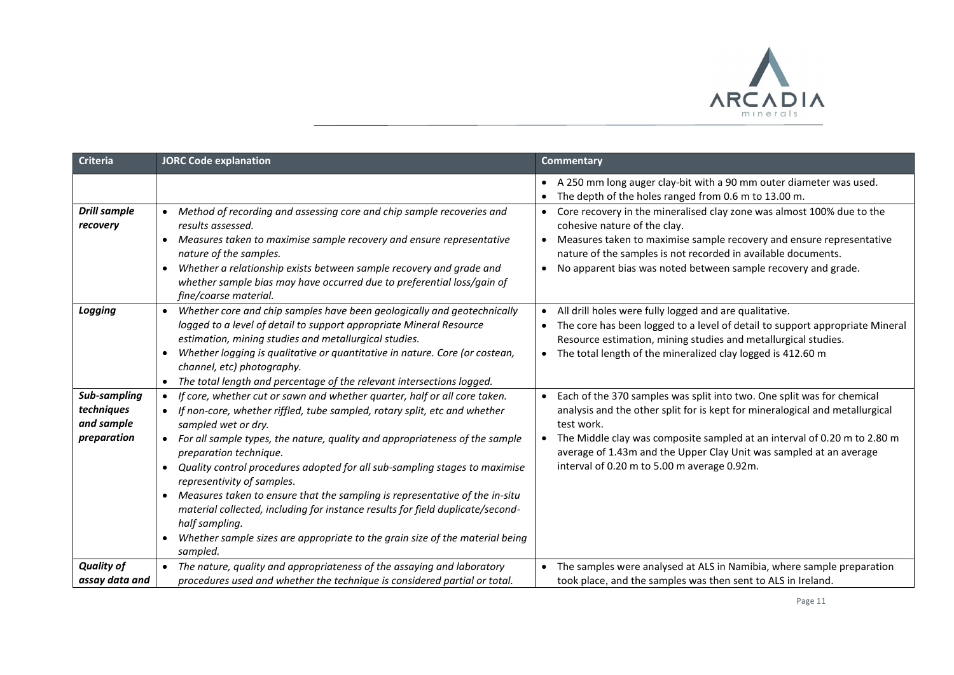

| <b>Criteria</b>                                         | <b>JORC Code explanation</b>                                                                                                                                                                                                                                                                                                                                                                                                                                                                                                                                                                                                                                                                                | Commentary                                                                                                                                                                                                                                                                                                                                                                                                                                                                                        |
|---------------------------------------------------------|-------------------------------------------------------------------------------------------------------------------------------------------------------------------------------------------------------------------------------------------------------------------------------------------------------------------------------------------------------------------------------------------------------------------------------------------------------------------------------------------------------------------------------------------------------------------------------------------------------------------------------------------------------------------------------------------------------------|---------------------------------------------------------------------------------------------------------------------------------------------------------------------------------------------------------------------------------------------------------------------------------------------------------------------------------------------------------------------------------------------------------------------------------------------------------------------------------------------------|
| <b>Drill sample</b><br>recovery                         | Method of recording and assessing core and chip sample recoveries and<br>results assessed.<br>Measures taken to maximise sample recovery and ensure representative<br>$\bullet$<br>nature of the samples.<br>Whether a relationship exists between sample recovery and grade and<br>$\bullet$<br>whether sample bias may have occurred due to preferential loss/gain of                                                                                                                                                                                                                                                                                                                                     | A 250 mm long auger clay-bit with a 90 mm outer diameter was used.<br>$\bullet$<br>The depth of the holes ranged from 0.6 m to 13.00 m.<br>Core recovery in the mineralised clay zone was almost 100% due to the<br>$\bullet$<br>cohesive nature of the clay.<br>Measures taken to maximise sample recovery and ensure representative<br>$\bullet$<br>nature of the samples is not recorded in available documents.<br>No apparent bias was noted between sample recovery and grade.<br>$\bullet$ |
| Logging                                                 | fine/coarse material.<br>Whether core and chip samples have been geologically and geotechnically<br>$\bullet$<br>logged to a level of detail to support appropriate Mineral Resource<br>estimation, mining studies and metallurgical studies.<br>Whether logging is qualitative or quantitative in nature. Core (or costean,<br>channel, etc) photography.<br>The total length and percentage of the relevant intersections logged.<br>$\bullet$                                                                                                                                                                                                                                                            | All drill holes were fully logged and are qualitative.<br>The core has been logged to a level of detail to support appropriate Mineral<br>Resource estimation, mining studies and metallurgical studies.<br>The total length of the mineralized clay logged is 412.60 m                                                                                                                                                                                                                           |
| Sub-sampling<br>techniques<br>and sample<br>preparation | If core, whether cut or sawn and whether quarter, half or all core taken.<br>If non-core, whether riffled, tube sampled, rotary split, etc and whether<br>sampled wet or dry.<br>For all sample types, the nature, quality and appropriateness of the sample<br>$\bullet$<br>preparation technique.<br>Quality control procedures adopted for all sub-sampling stages to maximise<br>$\bullet$<br>representivity of samples.<br>Measures taken to ensure that the sampling is representative of the in-situ<br>material collected, including for instance results for field duplicate/second-<br>half sampling.<br>Whether sample sizes are appropriate to the grain size of the material being<br>sampled. | Each of the 370 samples was split into two. One split was for chemical<br>analysis and the other split for is kept for mineralogical and metallurgical<br>test work.<br>The Middle clay was composite sampled at an interval of 0.20 m to 2.80 m<br>average of 1.43m and the Upper Clay Unit was sampled at an average<br>interval of 0.20 m to 5.00 m average 0.92m.                                                                                                                             |
| <b>Quality of</b><br>assay data and                     | The nature, quality and appropriateness of the assaying and laboratory<br>procedures used and whether the technique is considered partial or total.                                                                                                                                                                                                                                                                                                                                                                                                                                                                                                                                                         | The samples were analysed at ALS in Namibia, where sample preparation<br>took place, and the samples was then sent to ALS in Ireland.                                                                                                                                                                                                                                                                                                                                                             |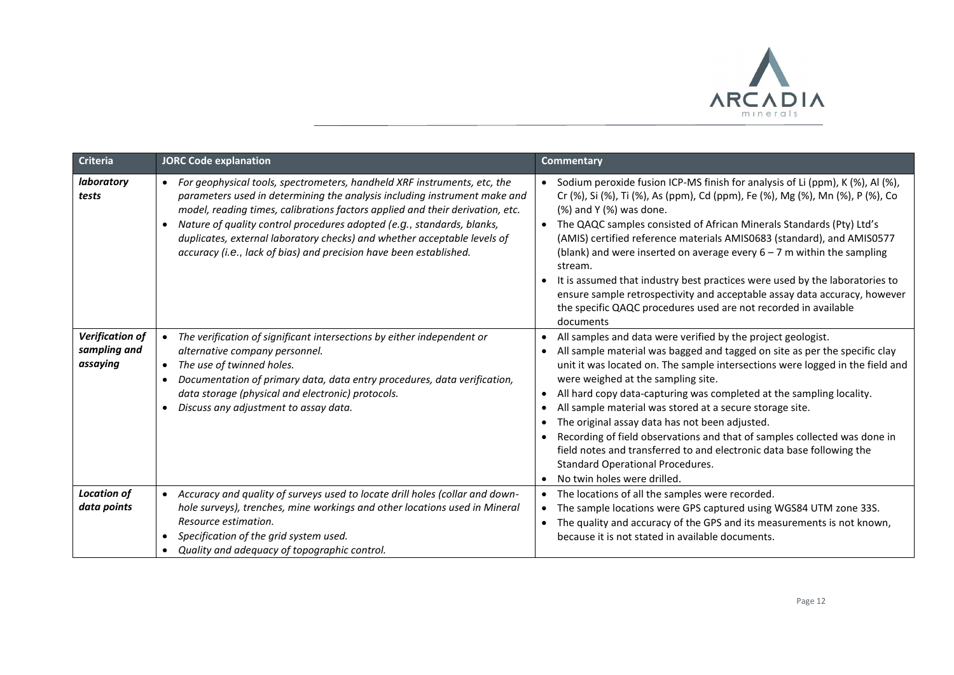

| <b>Criteria</b>                                    | <b>JORC Code explanation</b>                                                                                                                                                                                                                                                                                                                                                                                                                                                                 | <b>Commentary</b>                                                                                                                                                                                                                                                                                                                                                                                                                                                                                                                                                                                                                                                                                                                           |
|----------------------------------------------------|----------------------------------------------------------------------------------------------------------------------------------------------------------------------------------------------------------------------------------------------------------------------------------------------------------------------------------------------------------------------------------------------------------------------------------------------------------------------------------------------|---------------------------------------------------------------------------------------------------------------------------------------------------------------------------------------------------------------------------------------------------------------------------------------------------------------------------------------------------------------------------------------------------------------------------------------------------------------------------------------------------------------------------------------------------------------------------------------------------------------------------------------------------------------------------------------------------------------------------------------------|
| laboratory<br>tests                                | For geophysical tools, spectrometers, handheld XRF instruments, etc, the<br>$\bullet$<br>parameters used in determining the analysis including instrument make and<br>model, reading times, calibrations factors applied and their derivation, etc.<br>Nature of quality control procedures adopted (e.g., standards, blanks,<br>$\bullet$<br>duplicates, external laboratory checks) and whether acceptable levels of<br>accuracy (i.e., lack of bias) and precision have been established. | • Sodium peroxide fusion ICP-MS finish for analysis of Li (ppm), K (%), Al (%),<br>Cr (%), Si (%), Ti (%), As (ppm), Cd (ppm), Fe (%), Mg (%), Mn (%), P (%), Co<br>(%) and Y (%) was done.<br>• The QAQC samples consisted of African Minerals Standards (Pty) Ltd's<br>(AMIS) certified reference materials AMIS0683 (standard), and AMIS0577<br>(blank) and were inserted on average every $6 - 7$ m within the sampling<br>stream.<br>It is assumed that industry best practices were used by the laboratories to<br>ensure sample retrospectivity and acceptable assay data accuracy, however<br>the specific QAQC procedures used are not recorded in available<br>documents                                                          |
| <b>Verification of</b><br>sampling and<br>assaying | The verification of significant intersections by either independent or<br>٠<br>alternative company personnel.<br>The use of twinned holes.<br>$\bullet$<br>Documentation of primary data, data entry procedures, data verification,<br>$\bullet$<br>data storage (physical and electronic) protocols.<br>Discuss any adjustment to assay data.<br>٠                                                                                                                                          | All samples and data were verified by the project geologist.<br>$\bullet$<br>All sample material was bagged and tagged on site as per the specific clay<br>unit it was located on. The sample intersections were logged in the field and<br>were weighed at the sampling site.<br>All hard copy data-capturing was completed at the sampling locality.<br>$\bullet$<br>All sample material was stored at a secure storage site.<br>$\bullet$<br>The original assay data has not been adjusted.<br>Recording of field observations and that of samples collected was done in<br>field notes and transferred to and electronic data base following the<br><b>Standard Operational Procedures.</b><br>No twin holes were drilled.<br>$\bullet$ |
| <b>Location of</b><br>data points                  | Accuracy and quality of surveys used to locate drill holes (collar and down-<br>hole surveys), trenches, mine workings and other locations used in Mineral<br>Resource estimation.<br>Specification of the grid system used.<br>Quality and adequacy of topographic control.                                                                                                                                                                                                                 | The locations of all the samples were recorded.<br>$\bullet$<br>The sample locations were GPS captured using WGS84 UTM zone 33S.<br>The quality and accuracy of the GPS and its measurements is not known,<br>$\bullet$<br>because it is not stated in available documents.                                                                                                                                                                                                                                                                                                                                                                                                                                                                 |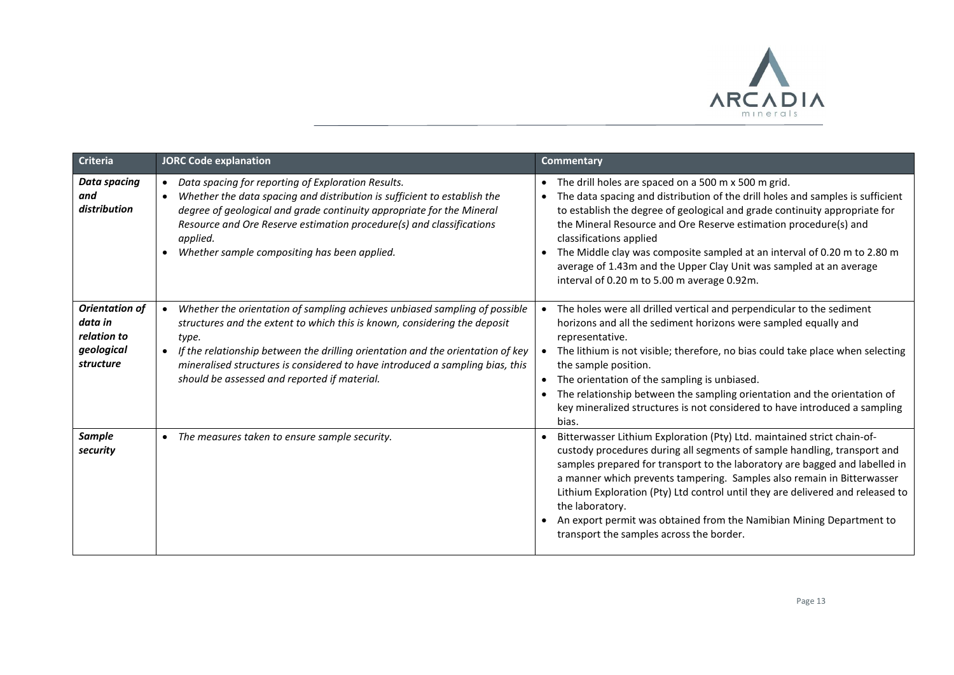

| <b>Criteria</b>                                                            | <b>JORC Code explanation</b>                                                                                                                                                                                                                                                                                                                                                                      | <b>Commentary</b>                                                                                                                                                                                                                                                                                                                                                                                                                                                                                                                     |
|----------------------------------------------------------------------------|---------------------------------------------------------------------------------------------------------------------------------------------------------------------------------------------------------------------------------------------------------------------------------------------------------------------------------------------------------------------------------------------------|---------------------------------------------------------------------------------------------------------------------------------------------------------------------------------------------------------------------------------------------------------------------------------------------------------------------------------------------------------------------------------------------------------------------------------------------------------------------------------------------------------------------------------------|
| <b>Data spacing</b><br>and<br>distribution                                 | Data spacing for reporting of Exploration Results.<br>Whether the data spacing and distribution is sufficient to establish the<br>$\bullet$<br>degree of geological and grade continuity appropriate for the Mineral<br>Resource and Ore Reserve estimation procedure(s) and classifications<br>applied.<br>Whether sample compositing has been applied.                                          | • The drill holes are spaced on a 500 m x 500 m grid.<br>The data spacing and distribution of the drill holes and samples is sufficient<br>to establish the degree of geological and grade continuity appropriate for<br>the Mineral Resource and Ore Reserve estimation procedure(s) and<br>classifications applied<br>The Middle clay was composite sampled at an interval of 0.20 m to 2.80 m<br>average of 1.43m and the Upper Clay Unit was sampled at an average<br>interval of 0.20 m to 5.00 m average 0.92m.                 |
| <b>Orientation of</b><br>data in<br>relation to<br>geological<br>structure | Whether the orientation of sampling achieves unbiased sampling of possible<br>structures and the extent to which this is known, considering the deposit<br>type.<br>If the relationship between the drilling orientation and the orientation of key<br>$\bullet$<br>mineralised structures is considered to have introduced a sampling bias, this<br>should be assessed and reported if material. | • The holes were all drilled vertical and perpendicular to the sediment<br>horizons and all the sediment horizons were sampled equally and<br>representative.<br>The lithium is not visible; therefore, no bias could take place when selecting<br>the sample position.<br>The orientation of the sampling is unbiased.<br>The relationship between the sampling orientation and the orientation of<br>key mineralized structures is not considered to have introduced a sampling<br>bias.                                            |
| <b>Sample</b><br>security                                                  | • The measures taken to ensure sample security.                                                                                                                                                                                                                                                                                                                                                   | Bitterwasser Lithium Exploration (Pty) Ltd. maintained strict chain-of-<br>custody procedures during all segments of sample handling, transport and<br>samples prepared for transport to the laboratory are bagged and labelled in<br>a manner which prevents tampering. Samples also remain in Bitterwasser<br>Lithium Exploration (Pty) Ltd control until they are delivered and released to<br>the laboratory.<br>An export permit was obtained from the Namibian Mining Department to<br>transport the samples across the border. |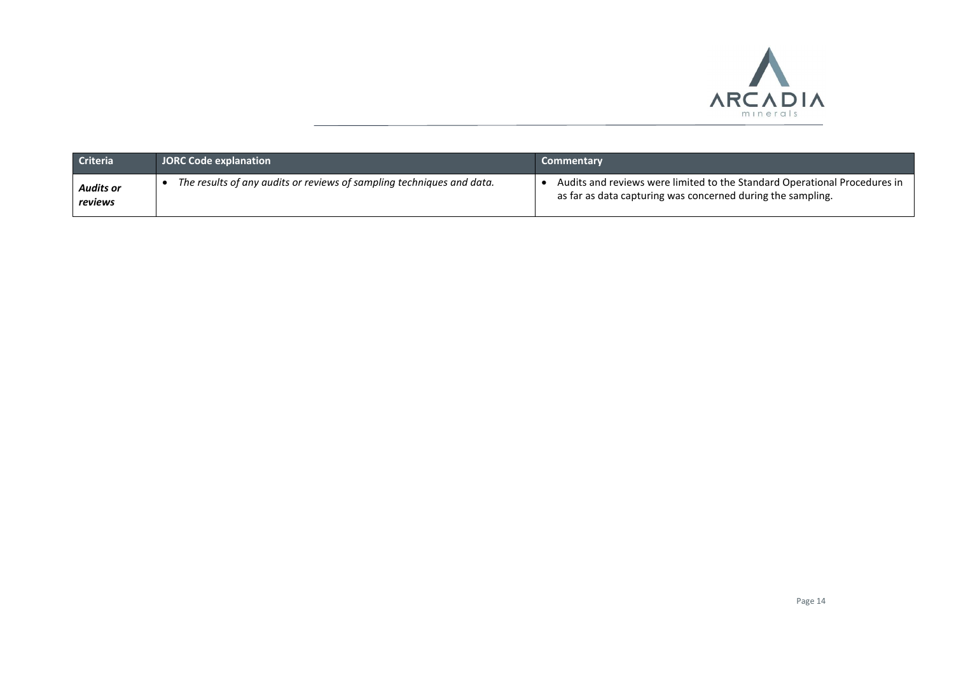

| <b>Criteria</b>      | <b>JORC Code explanation</b>                                          | <b>Commentary</b>                                                                                                                        |
|----------------------|-----------------------------------------------------------------------|------------------------------------------------------------------------------------------------------------------------------------------|
| Audits or<br>reviews | The results of any audits or reviews of sampling techniques and data. | Audits and reviews were limited to the Standard Operational Procedures in<br>as far as data capturing was concerned during the sampling. |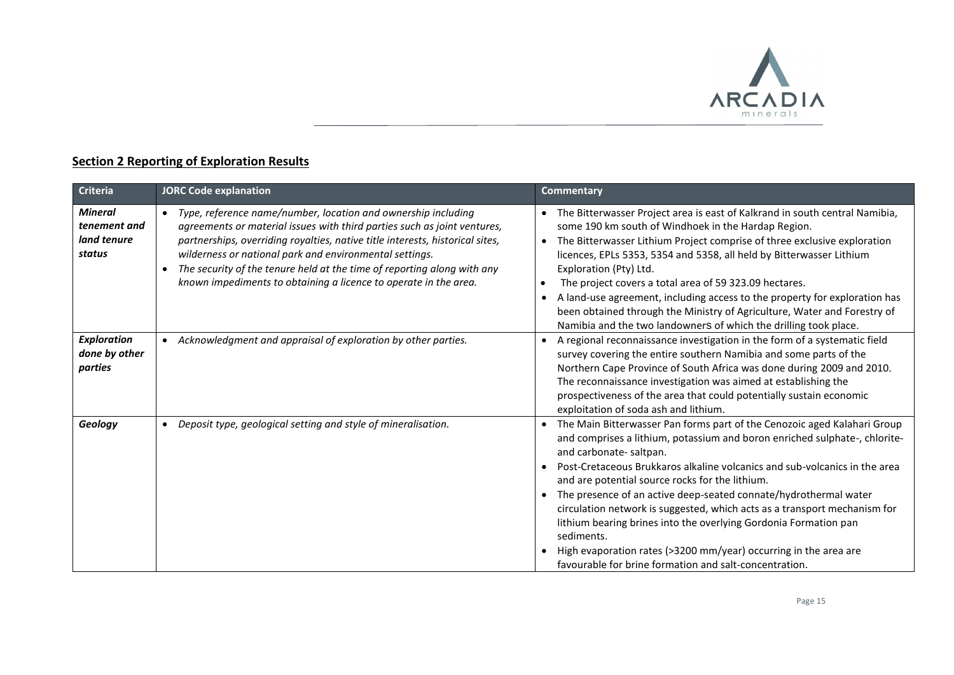

## **Section 2 Reporting of Exploration Results**

| <b>Criteria</b>                                         | <b>JORC Code explanation</b>                                                                                                                                                                                                                                                                                                                                                                                                                                   | <b>Commentary</b>                                                                                                                                                                                                                                                                                                                                                                                                                                                                                                                                                                                                                                                                               |
|---------------------------------------------------------|----------------------------------------------------------------------------------------------------------------------------------------------------------------------------------------------------------------------------------------------------------------------------------------------------------------------------------------------------------------------------------------------------------------------------------------------------------------|-------------------------------------------------------------------------------------------------------------------------------------------------------------------------------------------------------------------------------------------------------------------------------------------------------------------------------------------------------------------------------------------------------------------------------------------------------------------------------------------------------------------------------------------------------------------------------------------------------------------------------------------------------------------------------------------------|
| <b>Mineral</b><br>tenement and<br>land tenure<br>status | Type, reference name/number, location and ownership including<br>$\bullet$<br>agreements or material issues with third parties such as joint ventures,<br>partnerships, overriding royalties, native title interests, historical sites,<br>wilderness or national park and environmental settings.<br>The security of the tenure held at the time of reporting along with any<br>$\bullet$<br>known impediments to obtaining a licence to operate in the area. | The Bitterwasser Project area is east of Kalkrand in south central Namibia,<br>some 190 km south of Windhoek in the Hardap Region.<br>The Bitterwasser Lithium Project comprise of three exclusive exploration<br>licences, EPLs 5353, 5354 and 5358, all held by Bitterwasser Lithium<br>Exploration (Pty) Ltd.<br>The project covers a total area of 59 323.09 hectares.<br>$\bullet$<br>A land-use agreement, including access to the property for exploration has<br>been obtained through the Ministry of Agriculture, Water and Forestry of<br>Namibia and the two landowners of which the drilling took place.                                                                           |
| <b>Exploration</b><br>done by other<br>parties          | Acknowledgment and appraisal of exploration by other parties.                                                                                                                                                                                                                                                                                                                                                                                                  | A regional reconnaissance investigation in the form of a systematic field<br>survey covering the entire southern Namibia and some parts of the<br>Northern Cape Province of South Africa was done during 2009 and 2010.<br>The reconnaissance investigation was aimed at establishing the<br>prospectiveness of the area that could potentially sustain economic<br>exploitation of soda ash and lithium.                                                                                                                                                                                                                                                                                       |
| Geology                                                 | Deposit type, geological setting and style of mineralisation.<br>$\bullet$                                                                                                                                                                                                                                                                                                                                                                                     | The Main Bitterwasser Pan forms part of the Cenozoic aged Kalahari Group<br>and comprises a lithium, potassium and boron enriched sulphate-, chlorite-<br>and carbonate-saltpan.<br>Post-Cretaceous Brukkaros alkaline volcanics and sub-volcanics in the area<br>$\bullet$<br>and are potential source rocks for the lithium.<br>The presence of an active deep-seated connate/hydrothermal water<br>circulation network is suggested, which acts as a transport mechanism for<br>lithium bearing brines into the overlying Gordonia Formation pan<br>sediments.<br>High evaporation rates (>3200 mm/year) occurring in the area are<br>favourable for brine formation and salt-concentration. |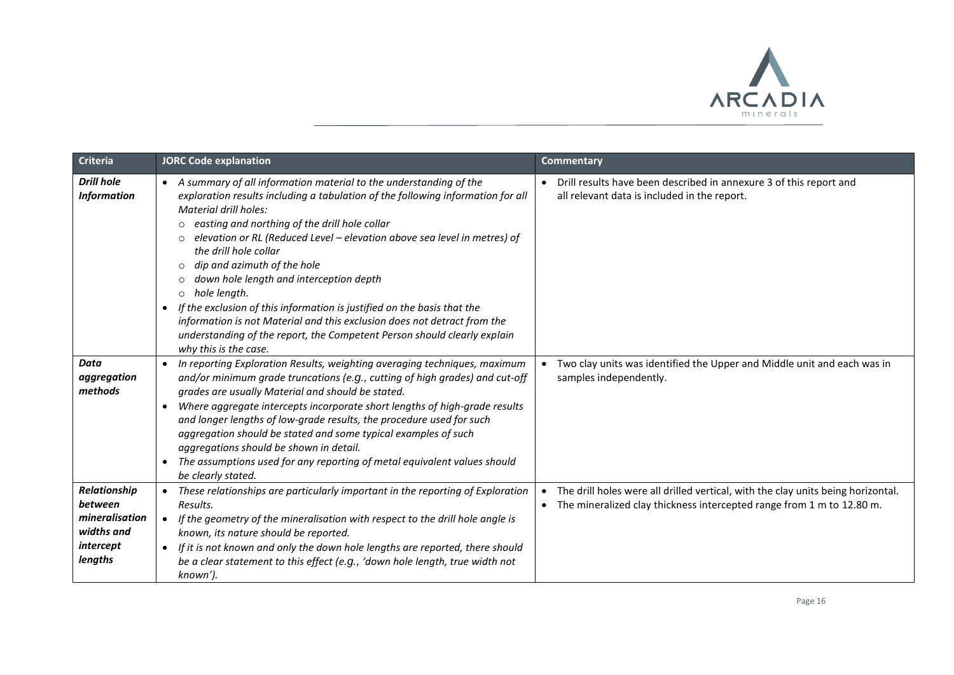

| <b>Criteria</b>                                                                 | <b>JORC Code explanation</b>                                                                                                                                                                                                                                                                                                                                                                                                                                                                                                                                                                                                                                                                                                                                                | Commentary                                                                                                                                                             |
|---------------------------------------------------------------------------------|-----------------------------------------------------------------------------------------------------------------------------------------------------------------------------------------------------------------------------------------------------------------------------------------------------------------------------------------------------------------------------------------------------------------------------------------------------------------------------------------------------------------------------------------------------------------------------------------------------------------------------------------------------------------------------------------------------------------------------------------------------------------------------|------------------------------------------------------------------------------------------------------------------------------------------------------------------------|
| <b>Drill hole</b><br><b>Information</b>                                         | A summary of all information material to the understanding of the<br>$\bullet$<br>exploration results including a tabulation of the following information for all<br>Material drill holes:<br>easting and northing of the drill hole collar<br>$\Omega$<br>elevation or RL (Reduced Level - elevation above sea level in metres) of<br>$\circ$<br>the drill hole collar<br>dip and azimuth of the hole<br>$\circ$<br>down hole length and interception depth<br>$\circ$<br>hole length.<br>$\circ$<br>If the exclusion of this information is justified on the basis that the<br>$\bullet$<br>information is not Material and this exclusion does not detract from the<br>understanding of the report, the Competent Person should clearly explain<br>why this is the case. | Drill results have been described in annexure 3 of this report and<br>all relevant data is included in the report.                                                     |
| <b>Data</b><br>aggregation<br>methods                                           | In reporting Exploration Results, weighting averaging techniques, maximum<br>$\bullet$<br>and/or minimum grade truncations (e.g., cutting of high grades) and cut-off<br>grades are usually Material and should be stated.<br>Where aggregate intercepts incorporate short lengths of high-grade results<br>$\bullet$<br>and longer lengths of low-grade results, the procedure used for such<br>aggregation should be stated and some typical examples of such<br>aggregations should be shown in detail.<br>The assumptions used for any reporting of metal equivalent values should<br>be clearly stated.                                                                                                                                                                | Two clay units was identified the Upper and Middle unit and each was in<br>samples independently.                                                                      |
| Relationship<br>between<br>mineralisation<br>widths and<br>intercept<br>lengths | These relationships are particularly important in the reporting of Exploration<br>$\bullet$<br>Results.<br>If the geometry of the mineralisation with respect to the drill hole angle is<br>$\bullet$<br>known, its nature should be reported.<br>If it is not known and only the down hole lengths are reported, there should<br>be a clear statement to this effect (e.g., 'down hole length, true width not<br>known').                                                                                                                                                                                                                                                                                                                                                  | The drill holes were all drilled vertical, with the clay units being horizontal.<br>The mineralized clay thickness intercepted range from 1 m to 12.80 m.<br>$\bullet$ |